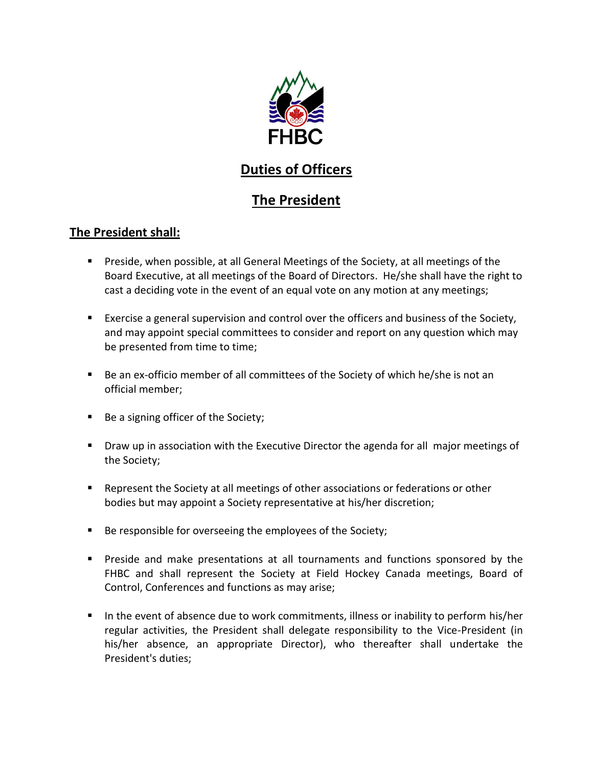

## **Duties of Officers**

## **The President**

## **The President shall:**

- Preside, when possible, at all General Meetings of the Society, at all meetings of the Board Executive, at all meetings of the Board of Directors. He/she shall have the right to cast a deciding vote in the event of an equal vote on any motion at any meetings;
- **Exercise a general supervision and control over the officers and business of the Society,** and may appoint special committees to consider and report on any question which may be presented from time to time;
- Be an ex-officio member of all committees of the Society of which he/she is not an official member;
- Be a signing officer of the Society;
- **Draw up in association with the Executive Director the agenda for all major meetings of** the Society;
- Represent the Society at all meetings of other associations or federations or other bodies but may appoint a Society representative at his/her discretion;
- Be responsible for overseeing the employees of the Society;
- Preside and make presentations at all tournaments and functions sponsored by the FHBC and shall represent the Society at Field Hockey Canada meetings, Board of Control, Conferences and functions as may arise;
- In the event of absence due to work commitments, illness or inability to perform his/her regular activities, the President shall delegate responsibility to the Vice-President (in his/her absence, an appropriate Director), who thereafter shall undertake the President's duties;